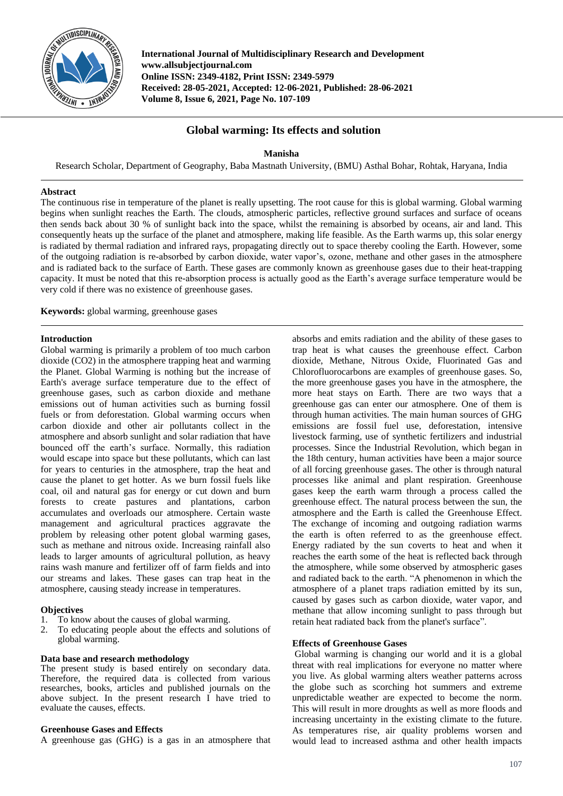

**International Journal of Multidisciplinary Research and Development www.allsubjectjournal.com Online ISSN: 2349-4182, Print ISSN: 2349-5979 Received: 28-05-2021, Accepted: 12-06-2021, Published: 28-06-2021 Volume 8, Issue 6, 2021, Page No. 107-109**

# **Global warming: Its effects and solution**

**Manisha**

Research Scholar, Department of Geography, Baba Mastnath University, (BMU) Asthal Bohar, Rohtak, Haryana, India

## **Abstract**

The continuous rise in temperature of the planet is really upsetting. The root cause for this is global warming. Global warming begins when sunlight reaches the Earth. The clouds, atmospheric particles, reflective ground surfaces and surface of oceans then sends back about 30 % of sunlight back into the space, whilst the remaining is absorbed by oceans, air and land. This consequently heats up the surface of the planet and atmosphere, making life feasible. As the Earth warms up, this solar energy is radiated by thermal radiation and infrared rays, propagating directly out to space thereby cooling the Earth. However, some of the outgoing radiation is re-absorbed by carbon dioxide, water vapor's, ozone, methane and other gases in the atmosphere and is radiated back to the surface of Earth. These gases are commonly known as greenhouse gases due to their heat-trapping capacity. It must be noted that this re-absorption process is actually good as the Earth's average surface temperature would be very cold if there was no existence of greenhouse gases.

**Keywords:** global warming, greenhouse gases

## **Introduction**

Global warming is primarily a problem of too much carbon dioxide (CO2) in the atmosphere trapping heat and warming the Planet. Global Warming is nothing but the increase of Earth's average surface temperature due to the effect of greenhouse gases, such as carbon dioxide and methane emissions out of human activities such as burning fossil fuels or from deforestation. Global warming occurs when carbon dioxide and other air pollutants collect in the atmosphere and absorb sunlight and solar radiation that have bounced off the earth's surface. Normally, this radiation would escape into space but these pollutants, which can last for years to centuries in the atmosphere, trap the heat and cause the planet to get hotter. As we burn fossil fuels like coal, oil and natural gas for energy or cut down and burn forests to create pastures and plantations, carbon accumulates and overloads our atmosphere. Certain waste management and agricultural practices aggravate the problem by releasing other potent global warming gases, such as methane and nitrous oxide. Increasing rainfall also leads to larger amounts of agricultural pollution, as heavy rains wash manure and fertilizer off of farm fields and into our streams and lakes. These gases can trap heat in the atmosphere, causing steady increase in temperatures.

#### **Objectives**

- 1. To know about the causes of global warming.
- 2. To educating people about the effects and solutions of global warming.

## **Data base and research methodology**

The present study is based entirely on secondary data. Therefore, the required data is collected from various researches, books, articles and published journals on the above subject. In the present research  $\tilde{I}$  have tried to evaluate the causes, effects.

#### **Greenhouse Gases and Effects**

A greenhouse gas (GHG) is a gas in an atmosphere that

absorbs and emits radiation and the ability of these gases to trap heat is what causes the greenhouse effect. Carbon dioxide, Methane, Nitrous Oxide, Fluorinated Gas and Chlorofluorocarbons are examples of greenhouse gases. So, the more greenhouse gases you have in the atmosphere, the more heat stays on Earth. There are two ways that a greenhouse gas can enter our atmosphere. One of them is through human activities. The main human sources of GHG emissions are fossil fuel use, deforestation, intensive livestock farming, use of synthetic fertilizers and industrial processes. Since the Industrial Revolution, which began in the 18th century, human activities have been a major source of all forcing greenhouse gases. The other is through natural processes like animal and plant respiration. Greenhouse gases keep the earth warm through a process called the greenhouse effect. The natural process between the sun, the atmosphere and the Earth is called the Greenhouse Effect. The exchange of incoming and outgoing radiation warms the earth is often referred to as the greenhouse effect. Energy radiated by the sun coverts to heat and when it reaches the earth some of the heat is reflected back through the atmosphere, while some observed by atmospheric gases and radiated back to the earth. "A phenomenon in which the atmosphere of a planet traps radiation emitted by its sun, caused by gases such as carbon dioxide, water vapor, and methane that allow incoming sunlight to pass through but retain heat radiated back from the planet's surface".

### **Effects of Greenhouse Gases**

Global warming is changing our world and it is a global threat with real implications for everyone no matter where you live. As global warming alters weather patterns across the globe such as scorching hot summers and extreme unpredictable weather are expected to become the norm. This will result in more droughts as well as more floods and increasing uncertainty in the existing climate to the future. As temperatures rise, air quality problems worsen and would lead to increased asthma and other health impacts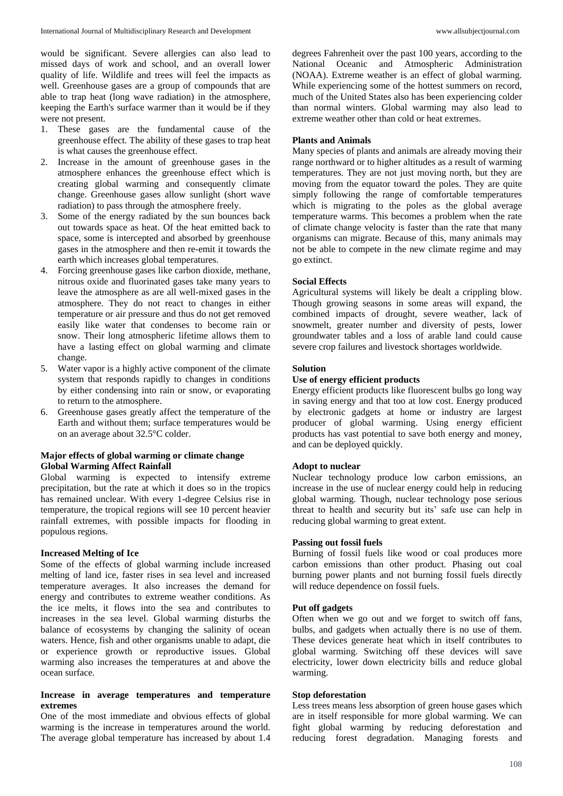would be significant. Severe allergies can also lead to missed days of work and school, and an overall lower quality of life. Wildlife and trees will feel the impacts as well. Greenhouse gases are a group of compounds that are able to trap heat (long wave radiation) in the atmosphere, keeping the Earth's surface warmer than it would be if they were not present.

- 1. These gases are the fundamental cause of the greenhouse effect. The ability of these gases to trap heat is what causes the greenhouse effect.
- Increase in the amount of greenhouse gases in the atmosphere enhances the greenhouse effect which is creating global warming and consequently climate change. Greenhouse gases allow sunlight (short wave radiation) to pass through the atmosphere freely.
- 3. Some of the energy radiated by the sun bounces back out towards space as heat. Of the heat emitted back to space, some is intercepted and absorbed by greenhouse gases in the atmosphere and then re-emit it towards the earth which increases global temperatures.
- 4. Forcing greenhouse gases like carbon dioxide, methane, nitrous oxide and fluorinated gases take many years to leave the atmosphere as are all well-mixed gases in the atmosphere. They do not react to changes in either temperature or air pressure and thus do not get removed easily like water that condenses to become rain or snow. Their long atmospheric lifetime allows them to have a lasting effect on global warming and climate change.
- 5. Water vapor is a highly active component of the climate system that responds rapidly to changes in conditions by either condensing into rain or snow, or evaporating to return to the atmosphere.
- 6. Greenhouse gases greatly affect the temperature of the Earth and without them; surface temperatures would be on an average about 32.5°C colder.

## **Major effects of global warming or climate change Global Warming Affect Rainfall**

Global warming is expected to intensify extreme precipitation, but the rate at which it does so in the tropics has remained unclear. With every 1-degree Celsius rise in temperature, the tropical regions will see 10 percent heavier rainfall extremes, with possible impacts for flooding in populous regions.

### **Increased Melting of Ice**

Some of the effects of global warming include increased melting of land ice, faster rises in sea level and increased temperature averages. It also increases the demand for energy and contributes to extreme weather conditions. As the ice melts, it flows into the sea and contributes to increases in the sea level. Global warming disturbs the balance of ecosystems by changing the salinity of ocean waters. Hence, fish and other organisms unable to adapt, die or experience growth or reproductive issues. Global warming also increases the temperatures at and above the ocean surface.

## **Increase in average temperatures and temperature extremes**

One of the most immediate and obvious effects of global warming is the increase in temperatures around the world. The average global temperature has increased by about 1.4 degrees Fahrenheit over the past 100 years, according to the National Oceanic and Atmospheric Administration (NOAA). Extreme weather is an effect of global warming. While experiencing some of the hottest summers on record, much of the United States also has been experiencing colder than normal winters. Global warming may also lead to extreme weather other than cold or heat extremes.

## **Plants and Animals**

Many species of plants and animals are already moving their range northward or to higher altitudes as a result of warming temperatures. They are not just moving north, but they are moving from the equator toward the poles. They are quite simply following the range of comfortable temperatures which is migrating to the poles as the global average temperature warms. This becomes a problem when the rate of climate change velocity is faster than the rate that many organisms can migrate. Because of this, many animals may not be able to compete in the new climate regime and may go extinct.

## **Social Effects**

Agricultural systems will likely be dealt a crippling blow. Though growing seasons in some areas will expand, the combined impacts of drought, severe weather, lack of snowmelt, greater number and diversity of pests, lower groundwater tables and a loss of arable land could cause severe crop failures and livestock shortages worldwide.

# **Solution**

## **Use of energy efficient products**

Energy efficient products like fluorescent bulbs go long way in saving energy and that too at low cost. Energy produced by electronic gadgets at home or industry are largest producer of global warming. Using energy efficient products has vast potential to save both energy and money, and can be deployed quickly.

## **Adopt to nuclear**

Nuclear technology produce low carbon emissions, an increase in the use of nuclear energy could help in reducing global warming. Though, nuclear technology pose serious threat to health and security but its' safe use can help in reducing global warming to great extent.

#### **Passing out fossil fuels**

Burning of fossil fuels like wood or coal produces more carbon emissions than other product. Phasing out coal burning power plants and not burning fossil fuels directly will reduce dependence on fossil fuels.

#### **Put off gadgets**

Often when we go out and we forget to switch off fans, bulbs, and gadgets when actually there is no use of them. These devices generate heat which in itself contributes to global warming. Switching off these devices will save electricity, lower down electricity bills and reduce global warming.

#### **Stop deforestation**

Less trees means less absorption of green house gases which are in itself responsible for more global warming. We can fight global warming by reducing deforestation and reducing forest degradation. Managing forests and